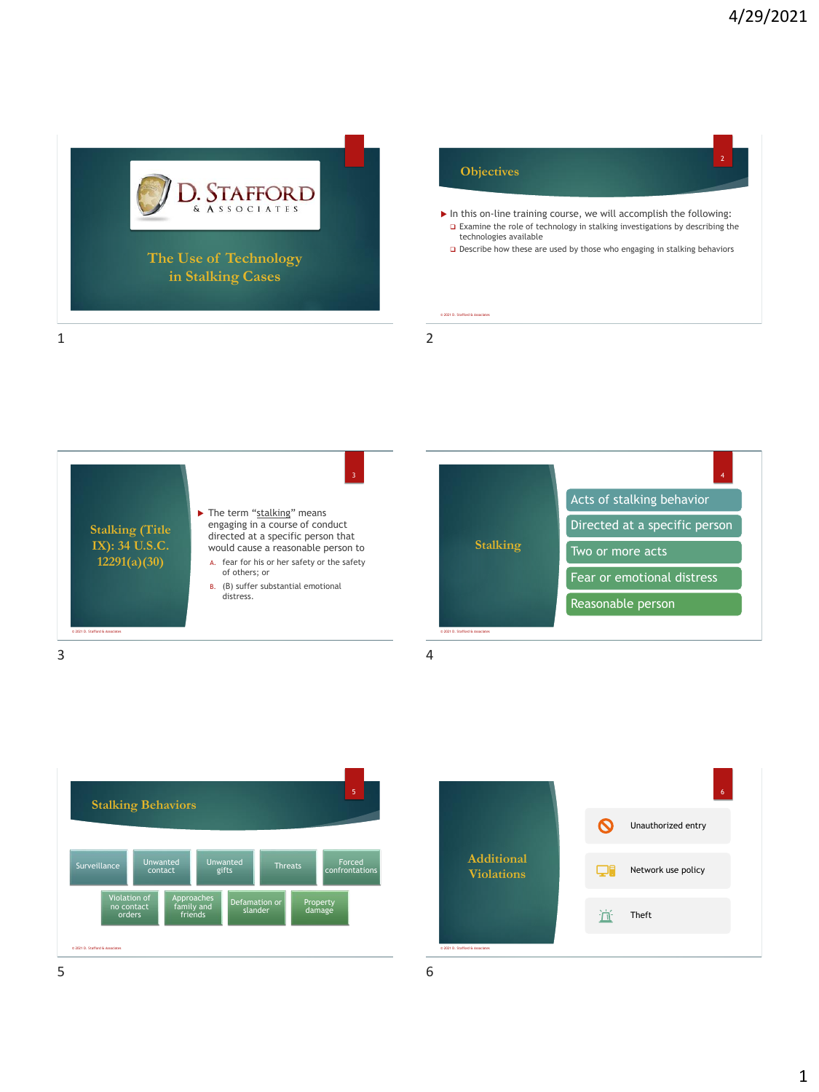









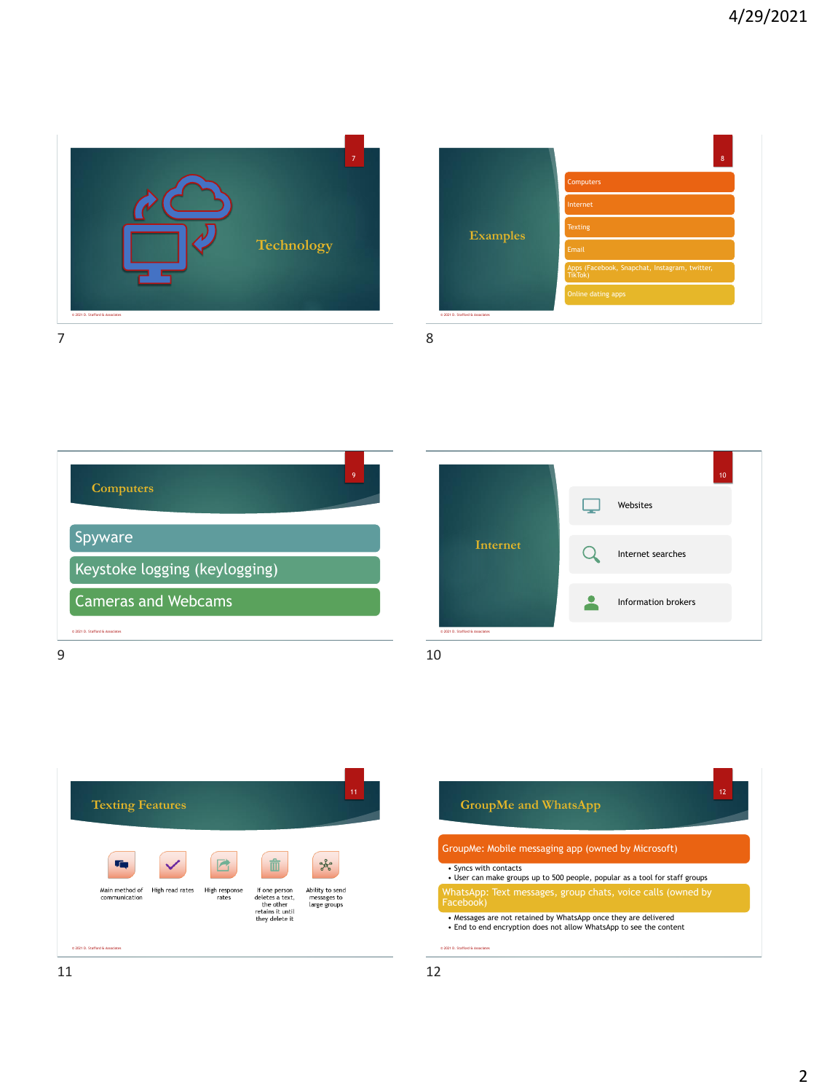

|                                 | 8                                                        |
|---------------------------------|----------------------------------------------------------|
| <b>Examples</b>                 | Computers                                                |
|                                 | Internet                                                 |
|                                 | Texting                                                  |
|                                 | Email                                                    |
|                                 | Apps (Facebook, Snapchat, Instagram, twitter,<br>TikTok) |
|                                 | Online dating apps                                       |
| © 2021 D. Stafford & Associates |                                                          |







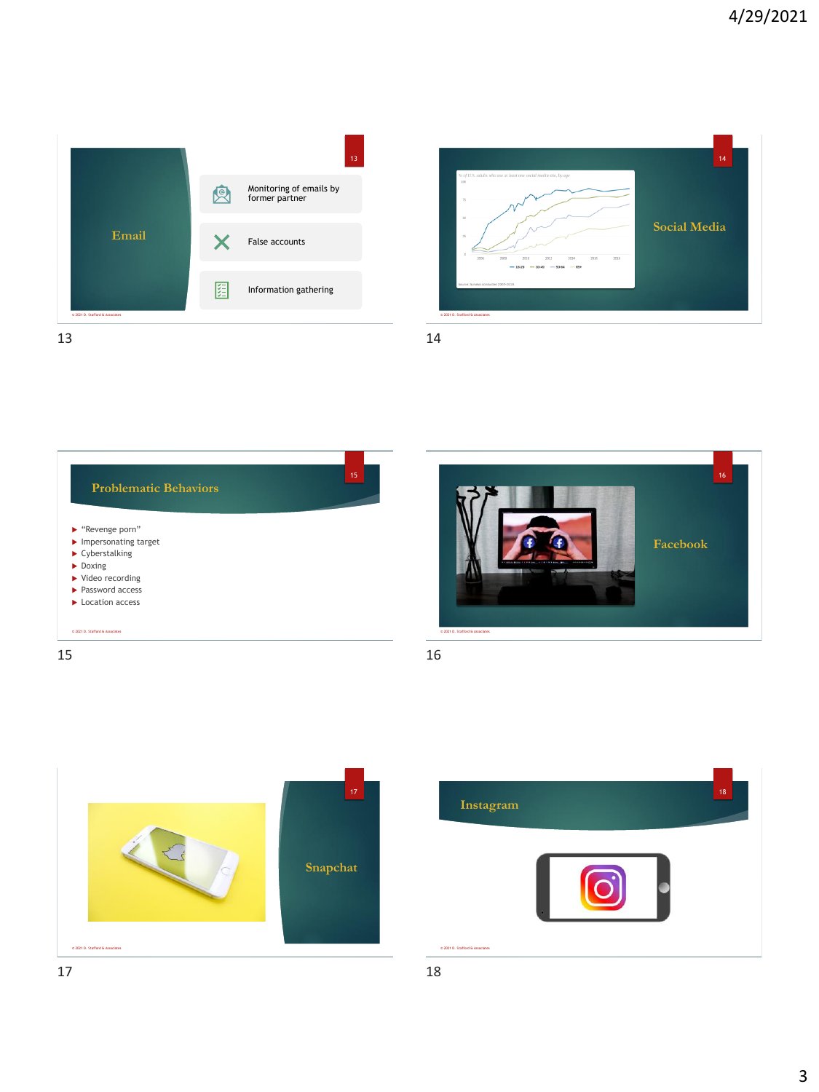